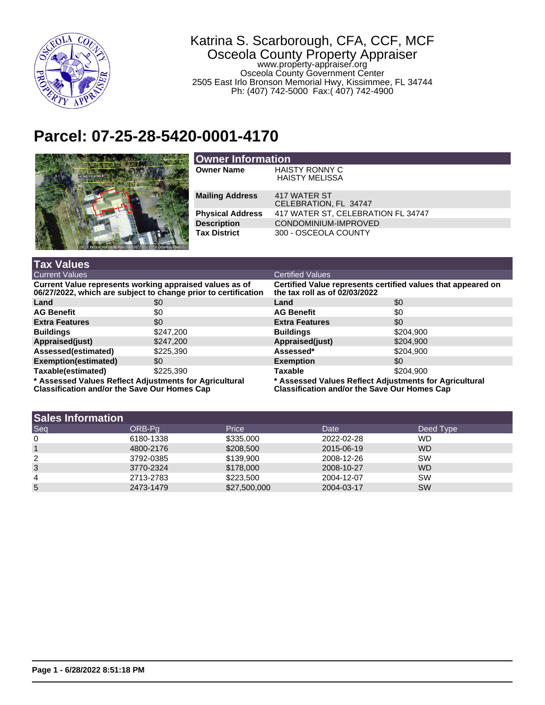

## Katrina S. Scarborough, CFA, CCF, MCF Osceola County Property Appraiser www.property-appraiser.org Osceola County Government Center 2505 East Irlo Bronson Memorial Hwy, Kissimmee, FL 34744 Ph: (407) 742-5000 Fax:( 407) 742-4900

## **Parcel: 07-25-28-5420-0001-4170**



| <b>Owner Information</b> |                                                |  |  |
|--------------------------|------------------------------------------------|--|--|
| <b>Owner Name</b>        | <b>HAISTY RONNY C</b><br><b>HAISTY MELISSA</b> |  |  |
| <b>Mailing Address</b>   | 417 WATER ST<br>CELEBRATION, FL 34747          |  |  |
| <b>Physical Address</b>  | 417 WATER ST, CELEBRATION FL 34747             |  |  |
| <b>Description</b>       | CONDOMINIUM-IMPROVED                           |  |  |
| <b>Tax District</b>      | 300 - OSCEOLA COUNTY                           |  |  |

| <b>Tax Values</b>                                                                                                         |           |                                                                                                               |           |  |
|---------------------------------------------------------------------------------------------------------------------------|-----------|---------------------------------------------------------------------------------------------------------------|-----------|--|
| <b>Current Values</b>                                                                                                     |           | <b>Certified Values</b>                                                                                       |           |  |
| Current Value represents working appraised values as of<br>06/27/2022, which are subject to change prior to certification |           | Certified Value represents certified values that appeared on<br>the tax roll as of $02/03/2022$               |           |  |
| Land                                                                                                                      | \$0       | Land                                                                                                          | \$0       |  |
| <b>AG Benefit</b>                                                                                                         | \$0       | <b>AG Benefit</b>                                                                                             | \$0       |  |
| <b>Extra Features</b>                                                                                                     | \$0       | <b>Extra Features</b>                                                                                         | \$0       |  |
| <b>Buildings</b>                                                                                                          | \$247,200 | <b>Buildings</b>                                                                                              | \$204,900 |  |
| Appraised(just)                                                                                                           | \$247,200 | Appraised(just)                                                                                               | \$204,900 |  |
| Assessed(estimated)                                                                                                       | \$225,390 | Assessed*                                                                                                     | \$204.900 |  |
| Exemption(estimated)                                                                                                      | \$0       | <b>Exemption</b>                                                                                              | \$0       |  |
| Taxable(estimated)                                                                                                        | \$225,390 | <b>Taxable</b>                                                                                                | \$204,900 |  |
| * Assessed Values Reflect Adjustments for Agricultural<br><b>Classification and/or the Save Our Homes Cap</b>             |           | * Assessed Values Reflect Adjustments for Agricultural<br><b>Classification and/or the Save Our Homes Cap</b> |           |  |

| <b>Sales Information</b> |  |                                                                                        |                                                                                  |  |
|--------------------------|--|----------------------------------------------------------------------------------------|----------------------------------------------------------------------------------|--|
| ORB-Pa                   |  | Date                                                                                   | Deed Type                                                                        |  |
| 6180-1338                |  |                                                                                        | <b>WD</b>                                                                        |  |
| 4800-2176                |  |                                                                                        | <b>WD</b>                                                                        |  |
| 3792-0385                |  |                                                                                        | SW                                                                               |  |
| 3770-2324                |  |                                                                                        | <b>WD</b>                                                                        |  |
| 2713-2783                |  |                                                                                        | SW                                                                               |  |
| 2473-1479                |  |                                                                                        | <b>SW</b>                                                                        |  |
|                          |  | Price<br>\$335,000<br>\$208,500<br>\$139,900<br>\$178,000<br>\$223,500<br>\$27,500,000 | 2022-02-28<br>2015-06-19<br>2008-12-26<br>2008-10-27<br>2004-12-07<br>2004-03-17 |  |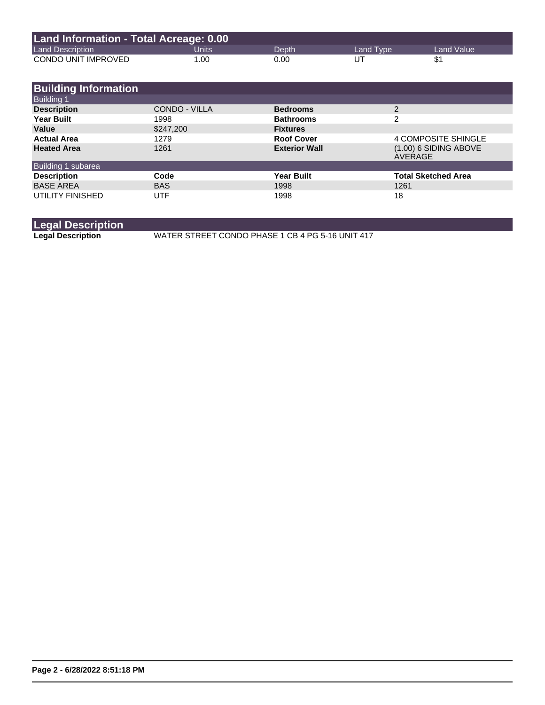| Land Information - Total Acreage: 0.00 |       |       |           |            |
|----------------------------------------|-------|-------|-----------|------------|
| <b>Land Description</b>                | Jnits | Depth | Land Tvpe | Land Value |
| CONDO UNIT IMPROVED                    | 1.00  | 0.00  | UΤ        |            |

| <b>Building Information</b>             |               |                      |                                    |
|-----------------------------------------|---------------|----------------------|------------------------------------|
| <b>Building 1</b><br><b>Description</b> | CONDO - VILLA | <b>Bedrooms</b>      | 2                                  |
| <b>Year Built</b>                       | 1998          | <b>Bathrooms</b>     | 2                                  |
| Value                                   | \$247,200     | <b>Fixtures</b>      |                                    |
| <b>Actual Area</b>                      | 1279          | <b>Roof Cover</b>    | <b>4 COMPOSITE SHINGLE</b>         |
| <b>Heated Area</b>                      | 1261          | <b>Exterior Wall</b> | $(1.00)$ 6 SIDING ABOVE<br>AVERAGE |
| Building 1 subarea                      |               |                      |                                    |
| <b>Description</b>                      | Code          | <b>Year Built</b>    | <b>Total Sketched Area</b>         |
| <b>BASE AREA</b>                        | <b>BAS</b>    | 1998                 | 1261                               |
| UTILITY FINISHED                        | UTF           | 1998                 | 18                                 |

**Legal Description**

**Legal Description** WATER STREET CONDO PHASE 1 CB 4 PG 5-16 UNIT 417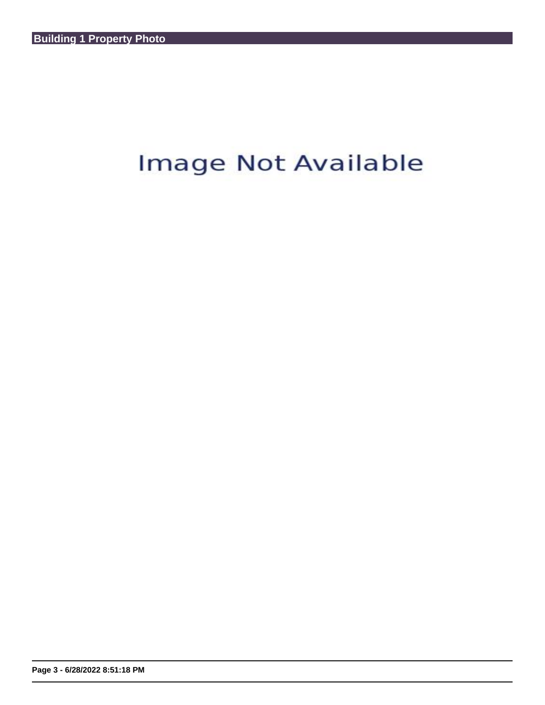## Image Not Available